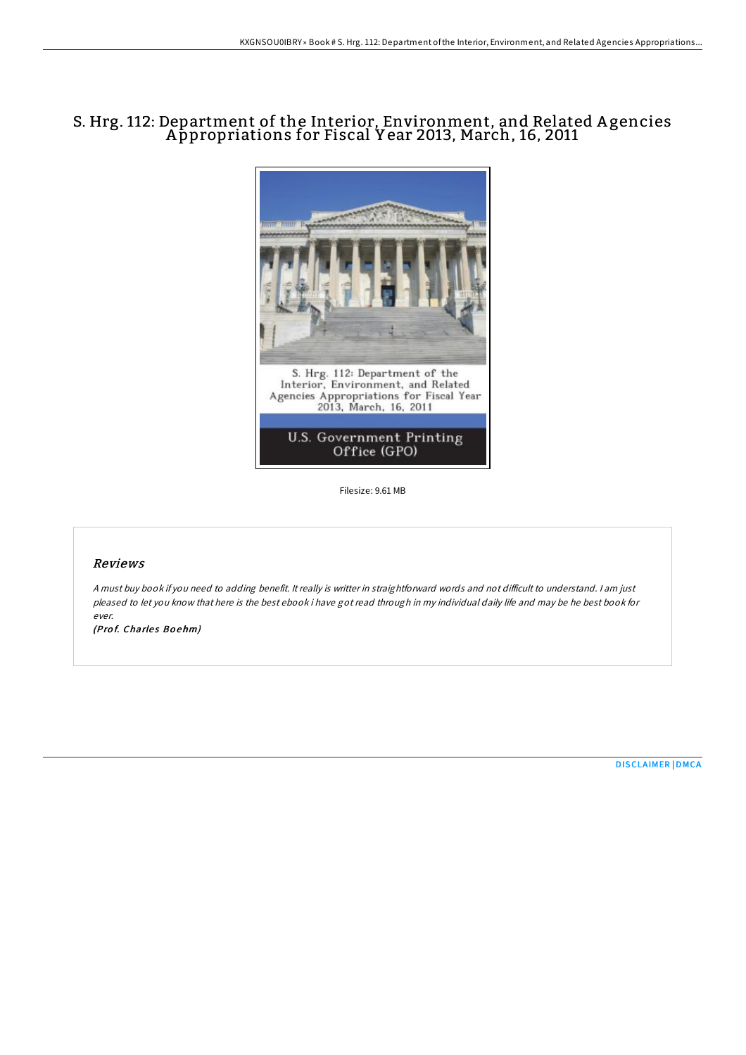# S. Hrg. 112: Department of the Interior, Environment, and Related A gencies A ppropriations for Fiscal Y ear 2013, March, 16, 2011



Filesize: 9.61 MB

## Reviews

A must buy book if you need to adding benefit. It really is writter in straightforward words and not difficult to understand. I am just pleased to let you know that here is the best ebook i have got read through in my individual daily life and may be he best book for ever.

(Prof. Charles Boehm)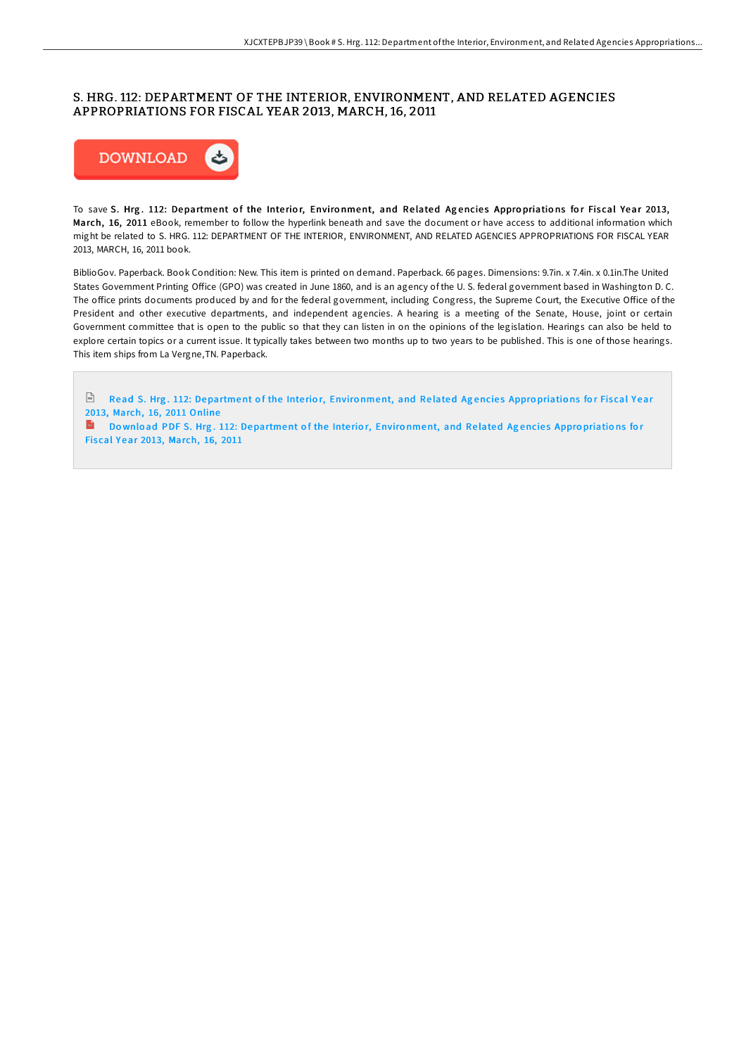# S. HRG. 112: DEPARTMENT OF THE INTERIOR, ENVIRONMENT, AND RELATED AGENCIES APPROPRIATIONS FOR FISCAL YEAR 2013, MARCH, 16, 2011



To save S. Hrg. 112: Department of the Interior, Environment, and Related Agencies Appropriations for Fiscal Year 2013, March, 16, 2011 eBook, remember to follow the hyperlink beneath and save the document or have access to additional information which might be related to S. HRG. 112: DEPARTMENT OF THE INTERIOR, ENVIRONMENT, AND RELATED AGENCIES APPROPRIATIONS FOR FISCAL YEAR 2013, MARCH, 16, 2011 book.

BiblioGov. Paperback. Book Condition: New. This item is printed on demand. Paperback. 66 pages. Dimensions: 9.7in. x 7.4in. x 0.1in.The United States Government Printing Office (GPO) was created in June 1860, and is an agency of the U.S. federal government based in Washington D.C. The office prints documents produced by and for the federal government, including Congress, the Supreme Court, the Executive Office of the President and other executive departments, and independent agencies. A hearing is a meeting of the Senate, House, joint or certain Government committee that is open to the public so that they can listen in on the opinions of the legislation. Hearings can also be held to explore certain topics or a current issue. It typically takes between two months up to two years to be published. This is one of those hearings. This item ships from La Vergne,TN. Paperback.

Read S. Hrg. 112: [Department](http://almighty24.tech/s-hrg-112-department-of-the-interior-environment-4.html) of the Interior, Environment, and Related Agencies Appropriations for Fiscal Year 2013, March, 16, 2011 Online **Download PDF S. Hrg. 112: [Department](http://almighty24.tech/s-hrg-112-department-of-the-interior-environment-4.html) of the Interior, Environment, and Related Agencies Appropriations for** Fis cal Y ear 2013, March, 16, 2011